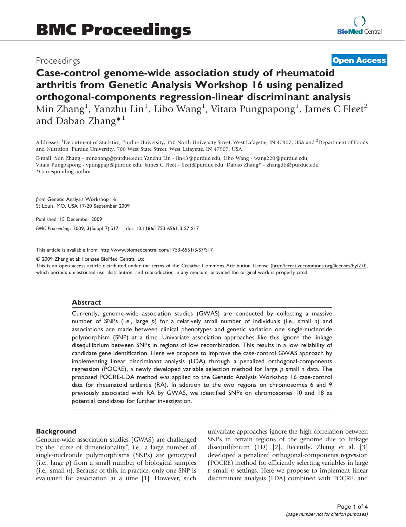# Proceedings

# **[Open Access](http://www.biomedcentral.com/info/about/charter/)**

# Case-control genome-wide association study of rheumatoid arthritis from Genetic Analysis Workshop 16 using penalized orthogonal-components regression-linear discriminant analysis Min Zhang<sup>1</sup>, Yanzhu Lin<sup>1</sup>, Libo Wang<sup>1</sup>, Vitara Pungpapong<sup>1</sup>, James C Fleet<sup>2</sup> and Dabao Zhang<sup>\*1</sup>

Addresses: <sup>1</sup>Department of Statistics, Purdue University, 150 North University Street, West Lafayette, IN 47907, USA and <sup>2</sup>Department of Foods and Nutrition, Purdue University, 700 West State Street, West Lafayette, IN 47907, USA

E-mail: Min Zhang - [minzhang@purdue.edu;](mailto:minzhang@purdue.edu) Yanzhu Lin - [lin43@purdue.edu](mailto:lin43@purdue.edu); Libo Wang - [wang220@purdue.edu](mailto:wang220@purdue.edu); Vitara Pungpapong - [vpungpap@purdue.edu](mailto:vpungpap@purdue.edu); James C Fleet - [fleet@purdue.edu;](mailto:fleet@purdue.edu) Dabao Zhang\* - [zhangdb@purdue.edu](mailto:zhangdb@purdue.edu) \*Corresponding author

from Genetic Analysis Workshop 16 St Louis, MO, USA 17-20 September 2009

Published: 15 December 2009

BMC Proceedings 2009, 3(Suppl 7):S17 doi: 10.1186/1753-6561-3-S7-S17

This article is available from: http://www.biomedcentral.com/1753-6561/3/S7/S17

© 2009 Zhang et al; licensee BioMed Central Ltd.

This is an open access article distributed under the terms of the Creative Commons Attribution License [\(http://creativecommons.org/licenses/by/2.0\)](http://creativecommons.org/licenses/by/2.0), which permits unrestricted use, distribution, and reproduction in any medium, provided the original work is properly cited.

#### Abstract

Currently, genome-wide association studies (GWAS) are conducted by collecting a massive number of SNPs (i.e., large  $p$ ) for a relatively small number of individuals (i.e., small n) and associations are made between clinical phenotypes and genetic variation one single-nucleotide polymorphism (SNP) at a time. Univariate association approaches like this ignore the linkage disequilibrium between SNPs in regions of low recombination. This results in a low reliability of candidate gene identification. Here we propose to improve the case-control GWAS approach by implementing linear discriminant analysis (LDA) through a penalized orthogonal-components regression (POCRE), a newly developed variable selection method for large  $p$  small n data. The proposed POCRE-LDA method was applied to the Genetic Analysis Workshop 16 case-control data for rheumatoid arthritis (RA). In addition to the two regions on chromosomes 6 and 9 previously associated with RA by GWAS, we identified SNPs on chromosomes 10 and 18 as potential candidates for further investigation.

#### **Background**

Genome-wide association studies (GWAS) are challenged by the "curse of dimensionality", i.e., a large number of single-nucleotide polymorphisms (SNPs) are genotyped (i.e., large  $p$ ) from a small number of biological samples (i.e., small  $n$ ). Because of this, in practice, only one SNP is evaluated for association at a time [\[1](#page-3-0)]. However, such univariate approaches ignore the high correlation between SNPs in certain regions of the genome due to linkage disequilibrium (LD) [[2\]](#page-3-0). Recently, Zhang et al. [\[3\]](#page-3-0) developed a penalized orthogonal-components regression (POCRE) method for efficiently selecting variables in large  $p$  small *n* settings. Here we propose to implement linear discriminant analysis (LDA) combined with POCRE, and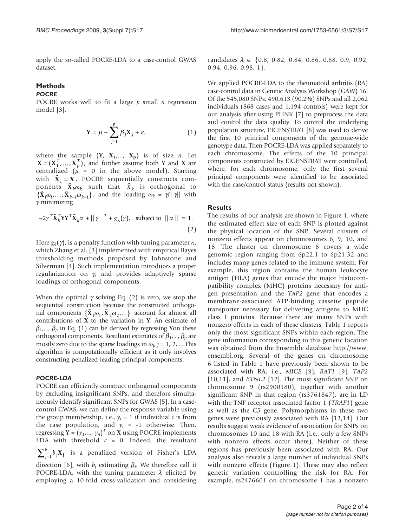apply the so-called POCRE-LDA to a case-control GWAS dataset.

# Methods

# **POCRE**

POCRE works well to fit a large  $p$  small  $n$  regression model [\[3\]](#page-3-0),

$$
\mathbf{Y} = \mu + \sum_{j=1}^{p} \beta_j \mathbf{X}_j + \varepsilon,\tag{1}
$$

where the sample  $(Y, X_1,..., X_p)$  is of size *n*. Let  $X = (X_1^T, ..., X_p^T)$ , and further assume both Y and X are centralized ( $\mu$  = 0 in the above model). Starting with  $\tilde{\mathbf{X}}_1 = \mathbf{X}$ , POCRE sequentially constructs components  $\tilde{\mathbf{X}}_k \omega_k$  such that  $\tilde{X}_k$  is orthogonal to  $\{ \mathbf{X}_i \omega_i, \dots, \mathbf{X}_{k-1} \omega_{k-1} \}$ , and the loading  $\omega_k = \gamma ||\gamma||$  with  $\gamma$  minimizing

$$
-2\gamma^T \tilde{\mathbf{X}}_k^T \mathbf{Y} \mathbf{Y}^T \tilde{\mathbf{X}}_k \alpha + ||\gamma||^2 + g_\lambda(\gamma), \text{ subject to } ||\alpha|| = 1.
$$
\n(2)

Here  $g_{\lambda}(\gamma)$ , is a penalty function with tuning parameter  $\lambda$ , which Zhang et al. [\[3\]](#page-3-0) implemented with empirical Bayes thresholding methods proposed by Johnstone and Silverman [[4\]](#page-3-0). Such implementation introduces a proper regularization on  $\gamma$ , and provides adaptively sparse loadings of orthogonal components.

When the optimal  $\gamma$  solving Eq. (2) is zero, we stop the sequential construction because the constructed orthogonal components  $\{X_1\omega_1, X_2\omega_2, ...\}$  account for almost all contributions of X to the variation in Y. An estimate of  $\beta_1$ ,...,  $\beta_p$  in Eq. (1) can be derived by regressing Yon these orthogonal components. Resultant estimates of  $\beta_1, ..., \beta_p$  are mostly zero due to the sparse loadings in  $\omega_j$ ,  $j = 1, 2, ...$  This algorithm is computationally efficient as it only involves algorithm is computationally efficient as it only involves constructing penalized leading principal components.

#### POCRE-LDA

POCRE can efficiently construct orthogonal components by excluding insignificant SNPs, and therefore simultaneously identify significant SNPs for GWAS [[5](#page-3-0)]. In a casecontrol GWAS, we can define the response variable using the group membership, i.e.,  $y_i = 1$  if individual *i* is from the case population, and  $y_i = -1$  otherwise. Then, regressing  $Y = (y_1,..., y_n)^T$  on X using POCRE implements<br>I DA with threshold  $c = 0$  Indeed, the resultant LDA with threshold  $c = 0$ . Indeed, the resultant  $\sum_{j=1}^{p} b_j \mathbf{X_j}$  is a penalized version of Fisher's LDA direction [[6](#page-3-0)], with  $b_i$  estimating  $\beta_i$ . We therefore call it POCRE-LDA, with the tuning parameter  $\lambda$  elicited by employing a 10-fold cross-validation and considering candidates  $\lambda \in \{0.8, 0.82, 0.84, 0.86, 0.88, 0.9, 0.92,$ 0.94, 0.96, 0.98, 1}.

We applied POCRE-LDA to the rheumatoid arthritis (RA) case-control data in Genetic Analysis Workshop (GAW) 16. Of the 545,080 SNPs, 490,613 (90.2%) SNPs and all 2,062 individuals (868 cases and 1,194 controls) were kept for our analysis after using PLINK [[7\]](#page-3-0) to preprocess the data and control the data quality. To control the underlying population structure, EIGENSTRAT [[8\]](#page-3-0) was used to derive the first 10 principal components of the genome-wide genotype data. Then POCRE-LDA was applied separately to each chromosome. The effects of the 10 principal components constructed by EIGENSTRAT were controlled, where, for each chromosome, only the first several principal components were identified to be associated with the case/control status (results not shown).

#### **Results**

The results of our analysis are shown in [Figure 1,](#page-2-0) where the estimated effect size of each SNP is plotted against the physical location of the SNP. Several clusters of nonzero effects appear on chromosomes 6, 9, 10, and 18. The cluster on chromosome 6 covers a wide genomic region ranging from 6p22.1 to 6p21.32 and includes many genes related to the immune system. For example, this region contains the human leukocyte antigen (HLA) genes that encode the major histocompatibility complex (MHC) proteins necessary for antigen presentation and the TAP2 gene that encodes a membrane-associated ATP-binding cassette peptide transporter necessary for delivering antigens to MHC class I proteins. Because there are many SNPs with nonzero effects in each of these clusters, [Table 1](#page-2-0) reports only the most significant SNPs within each region. The gene information corresponding to this genetic location was obtained from the Ensemble database [http://www.](http://www.ensembl.org) [ensembl.org](http://www.ensembl.org). Several of the genes on chromosome 6 listed in [Table 1](#page-2-0) have previously been shown to be associated with RA, i.e., MICB [\[9\]](#page-3-0), BAT1 [\[9\]](#page-3-0), TAP2 [[10,11](#page-3-0)], and BTNL2 [\[12](#page-3-0)]. The most significant SNP on chromosome 9 (rs2900180), together with another significant SNP in that region (rs3761847), are in LD with the TNF receptor associated factor 1 (TRAF1) gene as well as the C5 gene. Polymorphisms in these two genes were previously associated with RA [[13,14](#page-3-0)]. Our results suggest weak evidence of association for SNPs on chromosomes 10 and 18 with RA (i.e., only a few SNPs with nonzero effects occur there). Neither of these regions has previously been associated with RA. Our analysis also reveals a large number of individual SNPs with nonzero effects [\(Figure 1](#page-2-0)). These may also reflect genetic variation controlling the risk for RA. For example, rs2476601 on chromosome 1 has a nonzero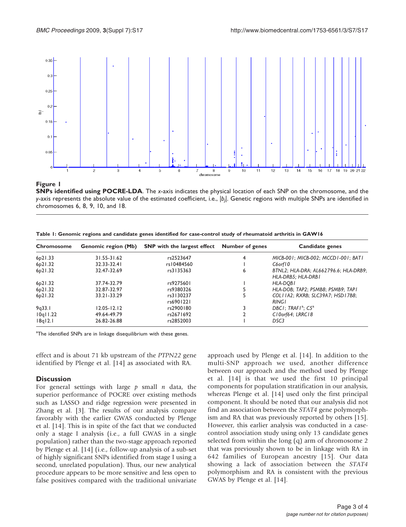<span id="page-2-0"></span>

#### Figure 1

SNPs identified using POCRE-LDA. The x-axis indicates the physical location of each SNP on the chromosome, and the y-axis represents the absolute value of the estimated coefficient, i.e.,  $|b_j|$ . Genetic regions with multiple SNPs are identified in chromosomes 6, 8, 9, 10, and 18.

Table 1: Genomic regions and candidate genes identified for case-control study of rheumatoid arthritis in GAW16

| Chromosome           | <b>Genomic region (Mb)</b> | <b>SNP</b> with the largest effect | <b>Number of genes</b> | Candidate genes                                             |
|----------------------|----------------------------|------------------------------------|------------------------|-------------------------------------------------------------|
| 6p21.33              | 31.55-31.62                | rs2523647                          | 4                      | MICB-001; MICB-002; MCCD1-001; BAT1                         |
| 6 <sub>p</sub> 21.32 | 32.33-32.41                | rs10484560                         |                        | C6orf10                                                     |
| 6 <sub>p</sub> 21.32 | 32.47-32.69                | rs3135363                          | 6                      | BTNL2; HLA-DRA; AL662796.6; HLA-DRB9;<br>HLA-DRB5; HLA-DRB1 |
| 6 <sub>p</sub> 21.32 | 37.74-32.79                | rs9275601                          |                        | HLA-DOBI                                                    |
| 6 <sub>p</sub> 21.32 | 32.87-32.97                | rs9380326                          |                        | HLA-DOB; TAP2; PSMB8; PSMB9; TAP1                           |
| 6p21.32              | 33.21-33.29                | rs3130237<br>rs6901221             |                        | COLI IA2; RXRB; SLC39A7; HSD17B8;<br><b>RINGI</b>           |
| 9q33.1               | $12.05 - 12.12$            | rs2900180                          |                        | DBCI: TRAFI <sup>a</sup> : $\mathsf{C5}^a$                  |
| 10q11.22             | 49.64-49.79                | rs2671692                          |                        | C10orf64; LRRC18                                            |
| 18q12.1              | 26.82-26.88                | rs2852003                          |                        | DSC <sub>3</sub>                                            |

<sup>a</sup>The identified SNPs are in linkage disequilibrium with these genes.

effect and is about 71 kb upstream of the PTPN22 gene identified by Plenge et al. [\[14](#page-3-0)] as associated with RA.

## **Discussion**

For general settings with large  $p$  small  $n$  data, the superior performance of POCRE over existing methods such as LASSO and ridge regression were presented in Zhang et al. [\[3\]](#page-3-0). The results of our analysis compare favorably with the earlier GWAS conducted by Plenge et al. [[14\]](#page-3-0). This is in spite of the fact that we conducted only a stage I analysis (i.e., a full GWAS in a single population) rather than the two-stage approach reported by Plenge et al. [[14\]](#page-3-0) (i.e., follow-up analysis of a sub-set of highly significant SNPs identified from stage I using a second, unrelated population). Thus, our new analytical procedure appears to be more sensitive and less open to false positives compared with the traditional univariate

approach used by Plenge et al. [[14\]](#page-3-0). In addition to the multi-SNP approach we used, another difference between our approach and the method used by Plenge et al. [\[14\]](#page-3-0) is that we used the first 10 principal components for population stratification in our analysis, whereas Plenge et al. [[14\]](#page-3-0) used only the first principal component. It should be noted that our analysis did not find an association between the STAT4 gene polymorphism and RA that was previously reported by others [\[15](#page-3-0)]. However, this earlier analysis was conducted in a casecontrol association study using only 13 candidate genes selected from within the long (q) arm of chromosome 2 that was previously shown to be in linkage with RA in 642 families of European ancestry [\[15\]](#page-3-0). Our data showing a lack of association between the STAT4 polymorphism and RA is consistent with the previous GWAS by Plenge et al. [[14\]](#page-3-0).